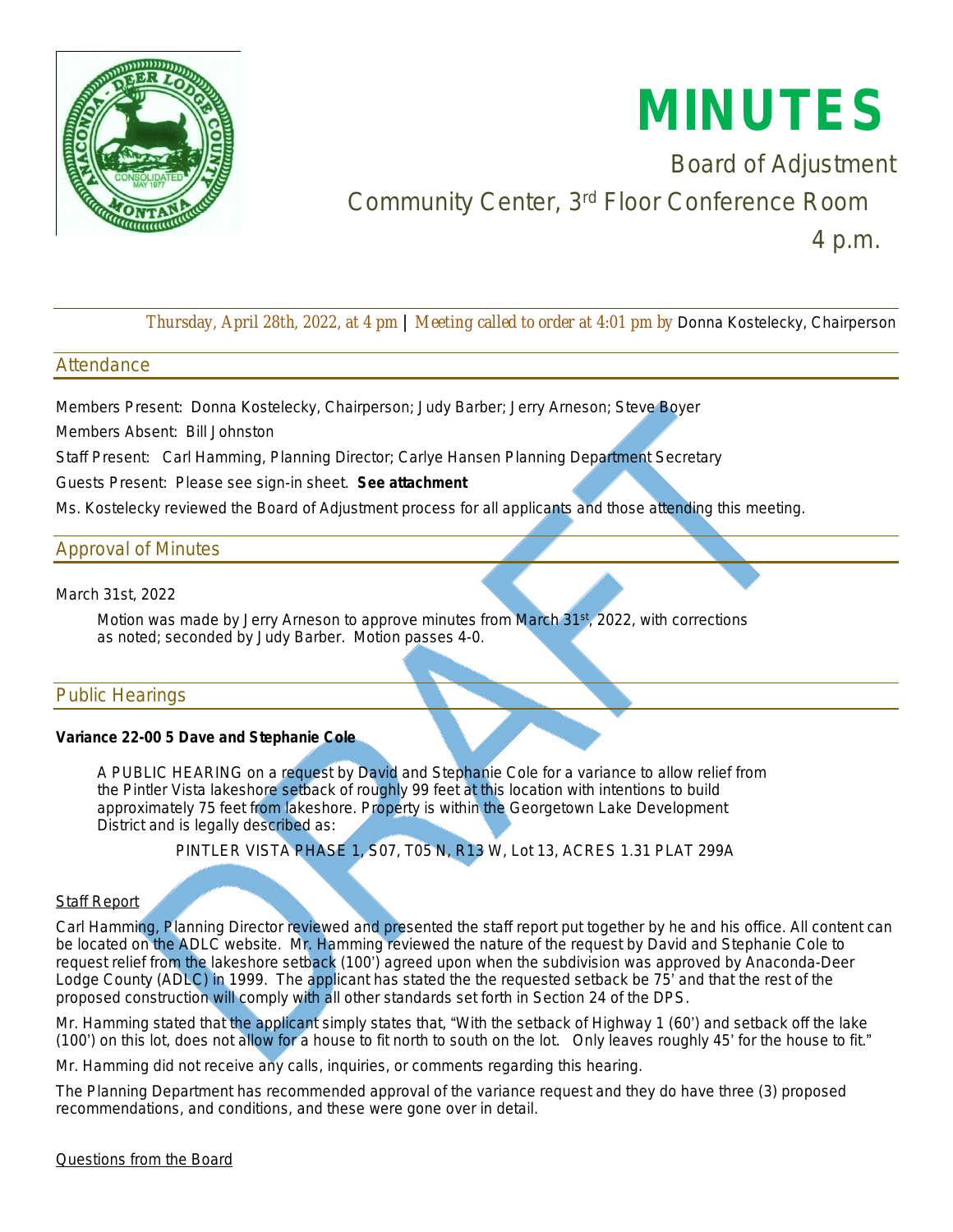

# **MINUTES**

Board of Adjustment Community Center, 3rd Floor Conference Room

4 p.m.

*Thursday, April 28th, 2022, at 4 pm* | *Meeting called to order at 4:01 pm by* Donna Kostelecky, Chairperson

## **Attendance**

Members Present: Donna Kostelecky, Chairperson; Judy Barber; Jerry Arneson; Steve Boyer

Members Absent: Bill Johnston

Staff Present: Carl Hamming, Planning Director; Carlye Hansen Planning Department Secretary

Guests Present: Please see sign-in sheet. *See attachment*

Ms. Kostelecky reviewed the Board of Adjustment process for all applicants and those attending this meeting.

# Approval of Minutes

March 31st, 2022

 Motion *was made by Jerry Arneson to approve minutes from March 31st , 2022, with corrections as noted; seconded by Judy Barber. Motion passes 4-0.*

# Public Hearings

#### **Variance 22-00 5 Dave and Stephanie Cole**

 A PUBLIC HEARING on a request by David and Stephanie Cole for a variance to allow relief from the Pintler Vista lakeshore setback of roughly 99 feet at this location with intentions to build approximately 75 feet from lakeshore. Property is within the Georgetown Lake Development District and is legally described as:

PINTLER VISTA PHASE 1, S07, T05 N, R13 W, Lot 13, ACRES 1.31 PLAT 299A

#### **Staff Report**

Carl Hamming, Planning Director reviewed and presented the staff report put together by he and his office. All content can be located on the ADLC website. Mr. Hamming reviewed the nature of the request by David and Stephanie Cole to request relief from the lakeshore setback (100') agreed upon when the subdivision was approved by Anaconda-Deer Lodge County (ADLC) in 1999. The applicant has stated the the requested setback be 75' and that the rest of the proposed construction will comply with all other standards set forth in Section 24 of the DPS.

Mr. Hamming stated that the applicant simply states that, "With the setback of Highway 1 (60') and setback off the lake (100') on this lot, does not allow for a house to fit north to south on the lot. Only leaves roughly 45' for the house to fit."

Mr. Hamming did not receive any calls, inquiries, or comments regarding this hearing.

The Planning Department has recommended approval of the variance request and they do have three (3) proposed recommendations, and conditions, and these were gone over in detail.

Questions from the Board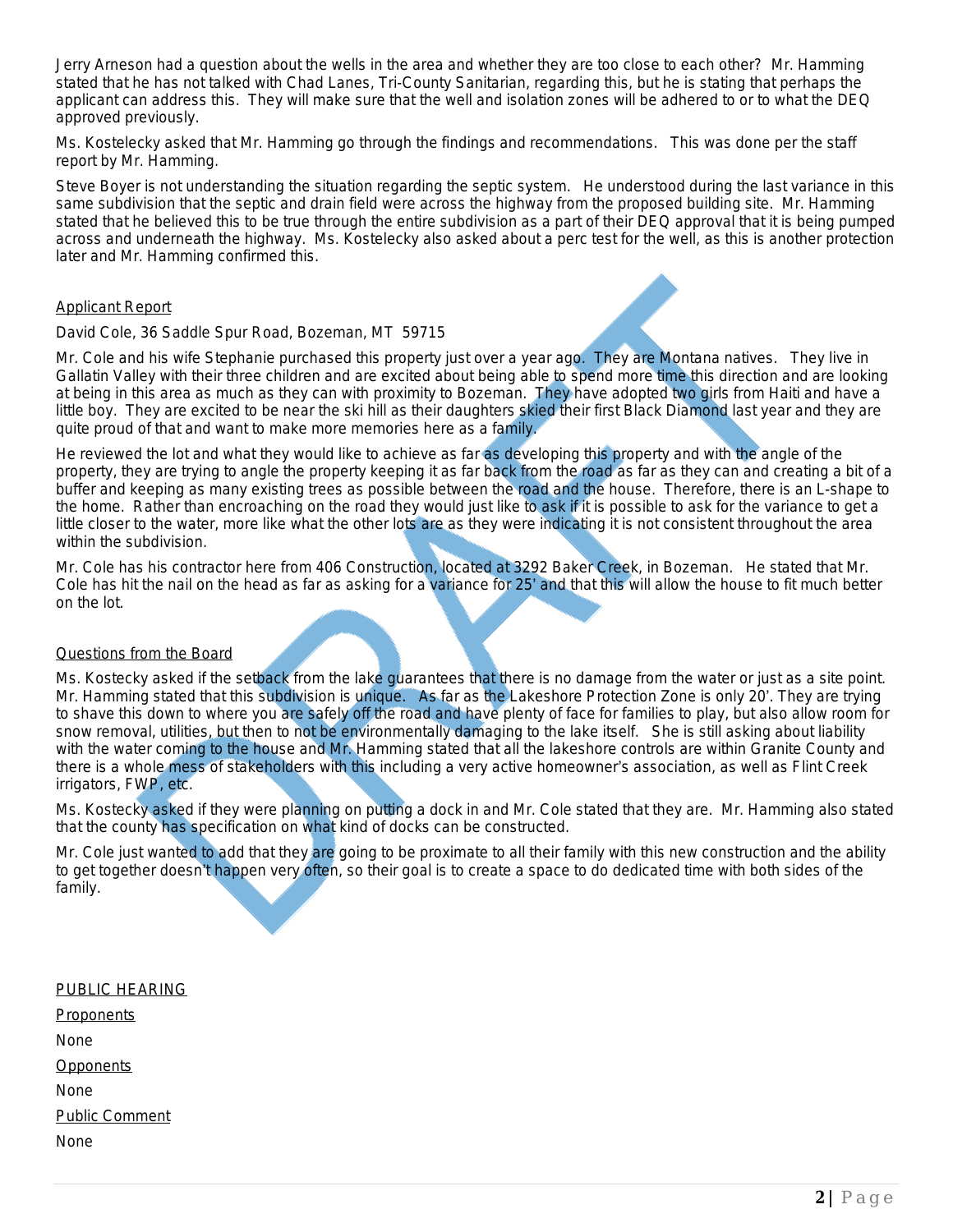Jerry Arneson had a question about the wells in the area and whether they are too close to each other? Mr. Hamming stated that he has not talked with Chad Lanes, Tri-County Sanitarian, regarding this, but he is stating that perhaps the applicant can address this. They will make sure that the well and isolation zones will be adhered to or to what the DEQ approved previously.

Ms. Kostelecky asked that Mr. Hamming go through the findings and recommendations. This was done per the staff report by Mr. Hamming.

Steve Boyer is not understanding the situation regarding the septic system. He understood during the last variance in this same subdivision that the septic and drain field were across the highway from the proposed building site. Mr. Hamming stated that he believed this to be true through the entire subdivision as a part of their DEQ approval that it is being pumped across and underneath the highway. Ms. Kostelecky also asked about a perc test for the well, as this is another protection later and Mr. Hamming confirmed this.

#### Applicant Report

#### David Cole, 36 Saddle Spur Road, Bozeman, MT 59715

Mr. Cole and his wife Stephanie purchased this property just over a year ago. They are Montana natives. They live in Gallatin Valley with their three children and are excited about being able to spend more time this direction and are looking at being in this area as much as they can with proximity to Bozeman. They have adopted two girls from Haiti and have a little boy. They are excited to be near the ski hill as their daughters skied their first Black Diamond last year and they are quite proud of that and want to make more memories here as a family.

He reviewed the lot and what they would like to achieve as far as developing this property and with the angle of the property, they are trying to angle the property keeping it as far back from the road as far as they can and creating a bit of a buffer and keeping as many existing trees as possible between the road and the house. Therefore, there is an L-shape to the home. Rather than encroaching on the road they would just like to ask if it is possible to ask for the variance to get a little closer to the water, more like what the other lots are as they were indicating it is not consistent throughout the area within the subdivision.

Mr. Cole has his contractor here from 406 Construction, located at 3292 Baker Creek, in Bozeman. He stated that Mr. Cole has hit the nail on the head as far as asking for a variance for 25' and that this will allow the house to fit much better on the lot.

#### Questions from the Board

Ms. Kostecky asked if the setback from the lake guarantees that there is no damage from the water or just as a site point. Mr. Hamming stated that this subdivision is unique. As far as the Lakeshore Protection Zone is only 20'. They are trying to shave this down to where you are safely off the road and have plenty of face for families to play, but also allow room for snow removal, utilities, but then to not be environmentally damaging to the lake itself. She is still asking about liability with the water coming to the house and Mr. Hamming stated that all the lakeshore controls are within Granite County and there is a whole mess of stakeholders with this including a very active homeowner's association, as well as Flint Creek irrigators, FWP, etc.

Ms. Kostecky asked if they were planning on putting a dock in and Mr. Cole stated that they are. Mr. Hamming also stated that the county has specification on what kind of docks can be constructed.

Mr. Cole just wanted to add that they are going to be proximate to all their family with this new construction and the ability to get together doesn't happen very often, so their goal is to create a space to do dedicated time with both sides of the family.

| PUBLIC HEARING        |
|-----------------------|
| <b>Proponents</b>     |
| None                  |
| <u>Opponents</u>      |
| None                  |
| <b>Public Comment</b> |
| None                  |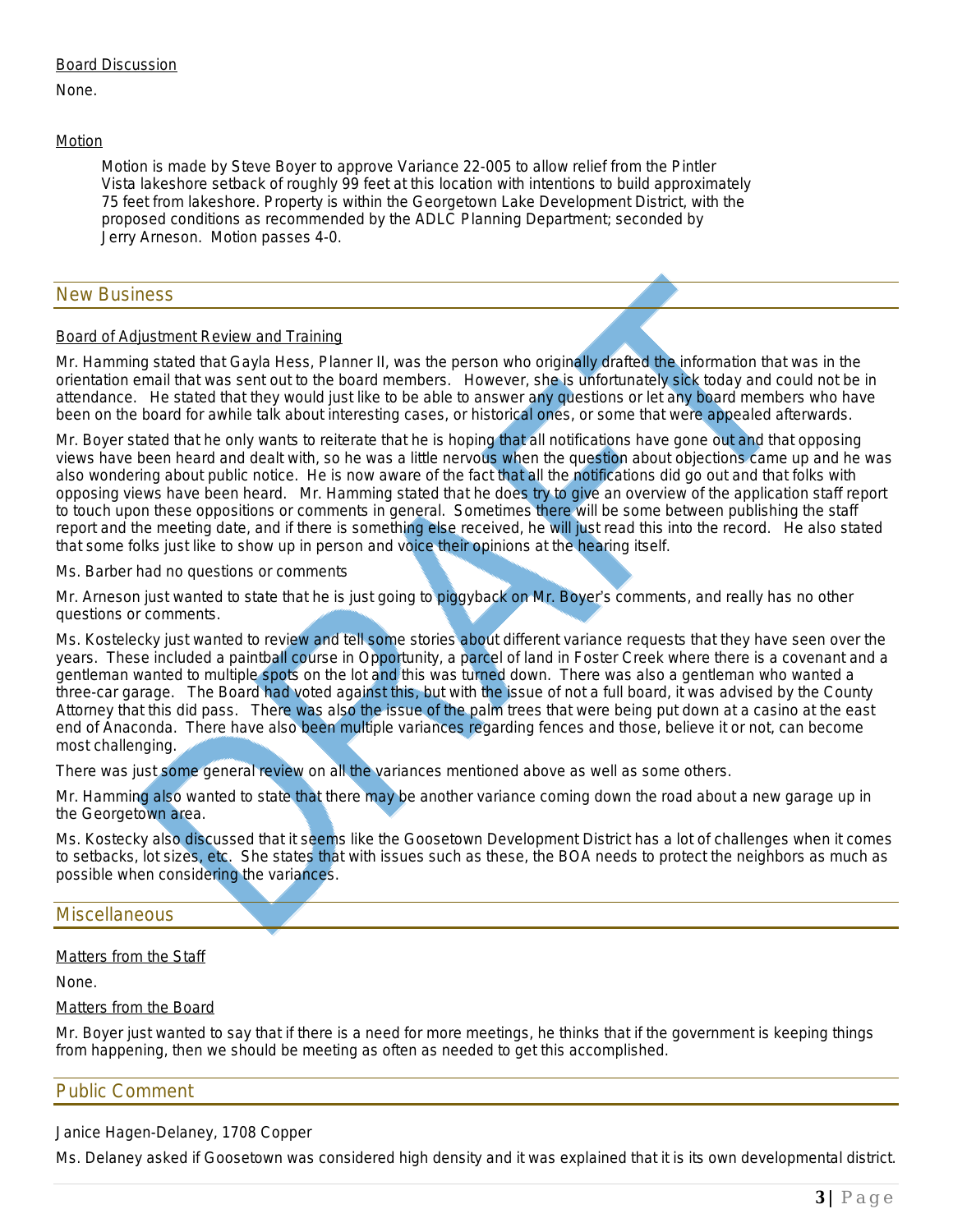#### Board Discussion

None.

#### Motion

 *Motion is made by Steve Boyer to approve Variance 22-005 to allow relief from the Pintler Vista lakeshore setback of roughly 99 feet at this location with intentions to build approximately 75 feet from lakeshore. Property is within the Georgetown Lake Development District, with the proposed conditions as recommended by the ADLC Planning Department; seconded by Jerry Arneson. Motion passes 4-0.*

## New Business

#### Board of Adjustment Review and Training

Mr. Hamming stated that Gayla Hess, Planner II, was the person who originally drafted the information that was in the orientation email that was sent out to the board members. However, she is unfortunately sick today and could not be in attendance. He stated that they would just like to be able to answer any questions or let any board members who have been on the board for awhile talk about interesting cases, or historical ones, or some that were appealed afterwards.

Mr. Boyer stated that he only wants to reiterate that he is hoping that all notifications have gone out and that opposing views have been heard and dealt with, so he was a little nervous when the question about objections came up and he was also wondering about public notice. He is now aware of the fact that all the notifications did go out and that folks with opposing views have been heard. Mr. Hamming stated that he does try to give an overview of the application staff report to touch upon these oppositions or comments in general. Sometimes there will be some between publishing the staff report and the meeting date, and if there is something else received, he will just read this into the record. He also stated that some folks just like to show up in person and voice their opinions at the hearing itself.

Ms. Barber had no questions or comments

Mr. Arneson just wanted to state that he is just going to piggyback on Mr. Boyer's comments, and really has no other questions or comments.

Ms. Kostelecky just wanted to review and tell some stories about different variance requests that they have seen over the years. These included a paintball course in Opportunity, a parcel of land in Foster Creek where there is a covenant and a gentleman wanted to multiple spots on the lot and this was turned down. There was also a gentleman who wanted a three-car garage. The Board had voted against this, but with the issue of not a full board, it was advised by the County Attorney that this did pass. There was also the issue of the palm trees that were being put down at a casino at the east end of Anaconda. There have also been multiple variances regarding fences and those, believe it or not, can become most challenging.

There was just some general review on all the variances mentioned above as well as some others.

Mr. Hamming also wanted to state that there may be another variance coming down the road about a new garage up in the Georgetown area.

Ms. Kostecky also discussed that it seems like the Goosetown Development District has a lot of challenges when it comes to setbacks, lot sizes, etc. She states that with issues such as these, the BOA needs to protect the neighbors as much as possible when considering the variances.

# **Miscellaneous**

#### Matters from the Staff

None.

#### Matters from the Board

Mr. Boyer just wanted to say that if there is a need for more meetings, he thinks that if the government is keeping things from happening, then we should be meeting as often as needed to get this accomplished.

## Public Comment

Janice Hagen-Delaney, 1708 Copper

Ms. Delaney asked if Goosetown was considered high density and it was explained that it is its own developmental district.